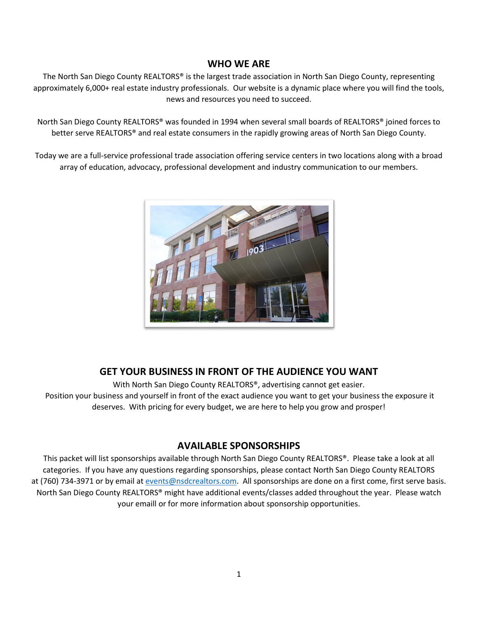## **WHO WE ARE**

The North San Diego County REALTORS® is the largest trade association in North San Diego County, representing approximately 6,000+ real estate industry professionals. Our website is a dynamic place where you will find the tools, news and resources you need to succeed.

North San Diego County REALTORS® was founded in 1994 when several small boards of REALTORS® joined forces to better serve REALTORS® and real estate consumers in the rapidly growing areas of North San Diego County.

Today we are a full-service professional trade association offering service centers in two locations along with a broad array of education, advocacy, professional development and industry communication to our members.



# **GET YOUR BUSINESS IN FRONT OF THE AUDIENCE YOU WANT**

With North San Diego County REALTORS<sup>®</sup>, advertising cannot get easier. Position your business and yourself in front of the exact audience you want to get your business the exposure it deserves. With pricing for every budget, we are here to help you grow and prosper!

## **AVAILABLE SPONSORSHIPS**

This packet will list sponsorships available through North San Diego County REALTORS®. Please take a look at all categories. If you have any questions regarding sponsorships, please contact North San Diego County REALTORS at (760) 734-3971 or by email at [events@nsdcrealtors.com.](mailto:events@nsdcrealtors.com) All sponsorships are done on a first come, first serve basis. North San Diego County REALTORS® might have additional events/classes added throughout the year. Please watch your emaill or for more information about sponsorship opportunities.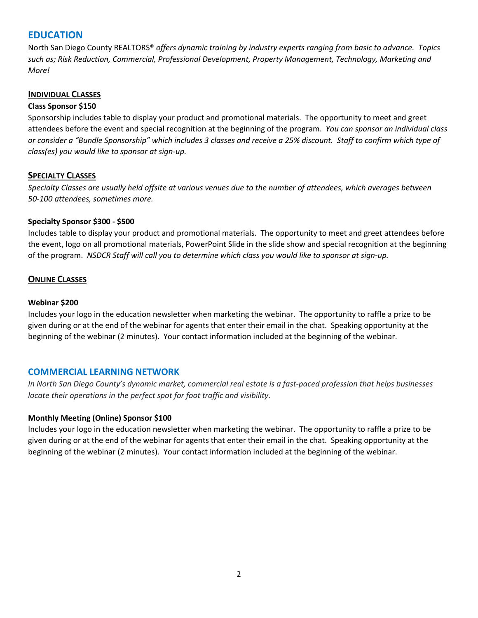# **EDUCATION**

North San Diego County REALTORS® *offers dynamic training by industry experts ranging from basic to advance. Topics such as; Risk Reduction, Commercial, Professional Development, Property Management, Technology, Marketing and More!* 

#### **INDIVIDUAL CLASSES**

#### **Class Sponsor \$150**

Sponsorship includes table to display your product and promotional materials. The opportunity to meet and greet attendees before the event and special recognition at the beginning of the program. *You can sponsor an individual class or consider a "Bundle Sponsorship" which includes 3 classes and receive a 25% discount. Staff to confirm which type of class(es) you would like to sponsor at sign-up.* 

## **SPECIALTY CLASSES**

*Specialty Classes are usually held offsite at various venues due to the number of attendees, which averages between 50-100 attendees, sometimes more.* 

## **Specialty Sponsor \$300 - \$500**

Includes table to display your product and promotional materials. The opportunity to meet and greet attendees before the event, logo on all promotional materials, PowerPoint Slide in the slide show and special recognition at the beginning of the program. *NSDCR Staff will call you to determine which class you would like to sponsor at sign-up.* 

## **ONLINE CLASSES**

## **Webinar \$200**

Includes your logo in the education newsletter when marketing the webinar. The opportunity to raffle a prize to be given during or at the end of the webinar for agents that enter their email in the chat. Speaking opportunity at the beginning of the webinar (2 minutes). Your contact information included at the beginning of the webinar.

## **COMMERCIAL LEARNING NETWORK**

*In North San Diego County's dynamic market, commercial real estate is a fast-paced profession that helps businesses locate their operations in the perfect spot for foot traffic and visibility.*

## **Monthly Meeting (Online) Sponsor \$100**

Includes your logo in the education newsletter when marketing the webinar. The opportunity to raffle a prize to be given during or at the end of the webinar for agents that enter their email in the chat. Speaking opportunity at the beginning of the webinar (2 minutes). Your contact information included at the beginning of the webinar.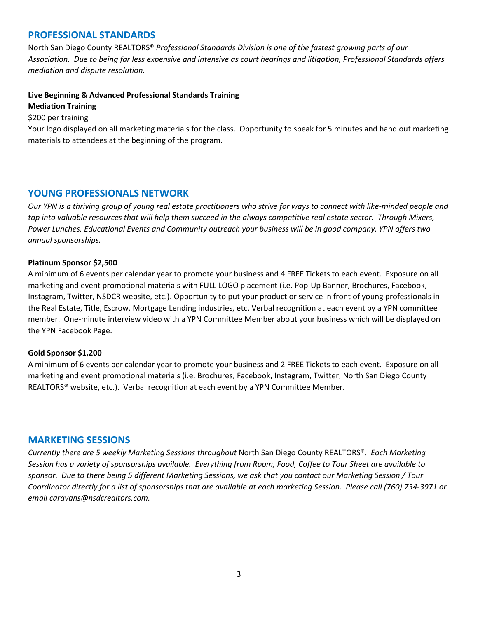# **PROFESSIONAL STANDARDS**

North San Diego County REALTORS® *Professional Standards Division is one of the fastest growing parts of our Association. Due to being far less expensive and intensive as court hearings and litigation, Professional Standards offers mediation and dispute resolution.* 

## **Live Beginning & Advanced Professional Standards Training**

#### **Mediation Training**

\$200 per training

Your logo displayed on all marketing materials for the class. Opportunity to speak for 5 minutes and hand out marketing materials to attendees at the beginning of the program.

## **YOUNG PROFESSIONALS NETWORK**

*Our YPN is a thriving group of young real estate practitioners who strive for ways to connect with like-minded people and tap into valuable resources that will help them succeed in the always competitive real estate sector. Through Mixers, Power Lunches, Educational Events and Community outreach your business will be in good company. YPN offers two annual sponsorships.*

#### **Platinum Sponsor \$2,500**

A minimum of 6 events per calendar year to promote your business and 4 FREE Tickets to each event. Exposure on all marketing and event promotional materials with FULL LOGO placement (i.e. Pop-Up Banner, Brochures, Facebook, Instagram, Twitter, NSDCR website, etc.). Opportunity to put your product or service in front of young professionals in the Real Estate, Title, Escrow, Mortgage Lending industries, etc. Verbal recognition at each event by a YPN committee member. One-minute interview video with a YPN Committee Member about your business which will be displayed on the YPN Facebook Page.

#### **Gold Sponsor \$1,200**

A minimum of 6 events per calendar year to promote your business and 2 FREE Tickets to each event. Exposure on all marketing and event promotional materials (i.e. Brochures, Facebook, Instagram, Twitter, North San Diego County REALTORS® website, etc.). Verbal recognition at each event by a YPN Committee Member.

## **MARKETING SESSIONS**

*Currently there are 5 weekly Marketing Sessions throughout* North San Diego County REALTORS®*. Each Marketing Session has a variety of sponsorships available. Everything from Room, Food, Coffee to Tour Sheet are available to sponsor. Due to there being 5 different Marketing Sessions, we ask that you contact our Marketing Session / Tour Coordinator directly for a list of sponsorships that are available at each marketing Session. Please call (760) 734-3971 or email caravans@nsdcrealtors.com.*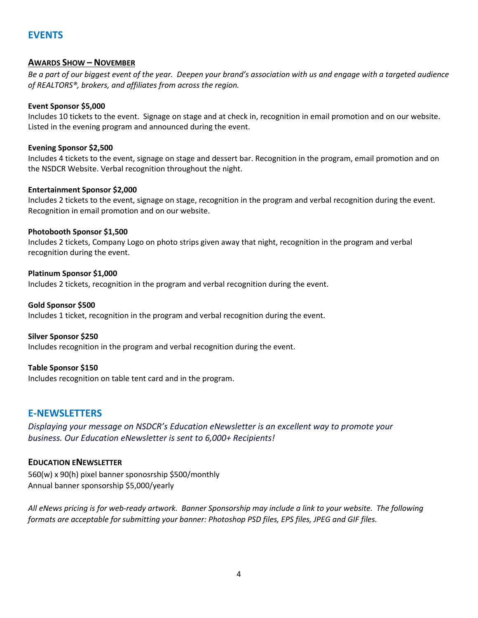# **EVENTS**

## **AWARDS SHOW – NOVEMBER**

*Be a part of our biggest event of the year. Deepen your brand's association with us and engage with a targeted audience of REALTORS®, brokers, and affiliates from across the region.* 

#### **Event Sponsor \$5,000**

Includes 10 tickets to the event. Signage on stage and at check in, recognition in email promotion and on our website. Listed in the evening program and announced during the event.

## **Evening Sponsor \$2,500**

Includes 4 tickets to the event, signage on stage and dessert bar. Recognition in the program, email promotion and on the NSDCR Website. Verbal recognition throughout the night.

## **Entertainment Sponsor \$2,000**

Includes 2 tickets to the event, signage on stage, recognition in the program and verbal recognition during the event. Recognition in email promotion and on our website.

## **Photobooth Sponsor \$1,500**

Includes 2 tickets, Company Logo on photo strips given away that night, recognition in the program and verbal recognition during the event.

## **Platinum Sponsor \$1,000**

Includes 2 tickets, recognition in the program and verbal recognition during the event.

#### **Gold Sponsor \$500**

Includes 1 ticket, recognition in the program and verbal recognition during the event.

#### **Silver Sponsor \$250**

Includes recognition in the program and verbal recognition during the event.

## **Table Sponsor \$150**

Includes recognition on table tent card and in the program.

# **E-NEWSLETTERS**

*Displaying your message on NSDCR's Education eNewsletter is an excellent way to promote your business. Our Education eNewsletter is sent to 6,000+ Recipients!*

## **EDUCATION ENEWSLETTER**

560(w) x 90(h) pixel banner sponosrship \$500/monthly Annual banner sponsorship \$5,000/yearly

*All eNews pricing is for web-ready artwork. Banner Sponsorship may include a link to your website. The following formats are acceptable for submitting your banner: Photoshop PSD files, EPS files, JPEG and GIF files.*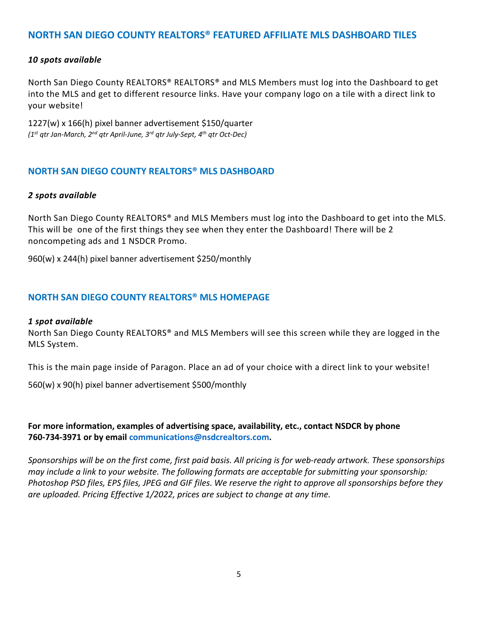# **NORTH SAN DIEGO COUNTY REALTORS® FEATURED AFFILIATE MLS DASHBOARD TILES**

## *10 spots available*

North San Diego County REALTORS® REALTORS® and MLS Members must log into the Dashboard to get into the MLS and get to different resource links. Have your company logo on a tile with a direct link to your website!

1227(w) x 166(h) pixel banner advertisement \$150/quarter *(1st qtr Jan-March, 2nd qtr April-June, 3rd qtr July-Sept, 4th qtr Oct-Dec)*

## **NORTH SAN DIEGO COUNTY REALTORS® MLS DASHBOARD**

#### *2 spots available*

North San Diego County REALTORS® and MLS Members must log into the Dashboard to get into the MLS. This will be one of the first things they see when they enter the Dashboard! There will be 2 noncompeting ads and 1 NSDCR Promo.

960(w) x 244(h) pixel banner advertisement \$250/monthly

## **NORTH SAN DIEGO COUNTY REALTORS® MLS HOMEPAGE**

#### *1 spot available*

North San Diego County REALTORS® and MLS Members will see this screen while they are logged in the MLS System.

This is the main page inside of Paragon. Place an ad of your choice with a direct link to your website!

560(w) x 90(h) pixel banner advertisement \$500/monthly

**For more information, examples of advertising space, availability, etc., contact NSDCR by phone 760-734-3971 or by email communications@nsdcrealtors.com.**

*Sponsorships will be on the first come, first paid basis. All pricing is for web-ready artwork. These sponsorships may include a link to your website. The following formats are acceptable for submitting your sponsorship: Photoshop PSD files, EPS files, JPEG and GIF files. We reserve the right to approve all sponsorships before they are uploaded. Pricing Effective 1/2022, prices are subject to change at any time.*